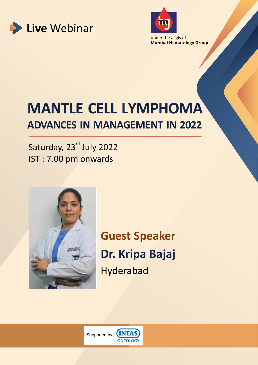



**Mumbai Hematology Group** 

# **MANTLE CELL LYMPHOMA ADVANCES IN MANAGEMENT IN 2022**

Saturday, 23<sup>rd</sup> July 2022 IST : 7.00 pm onwards



**Guest Speaker Dr. Kripa Bajaj** Hyderabad

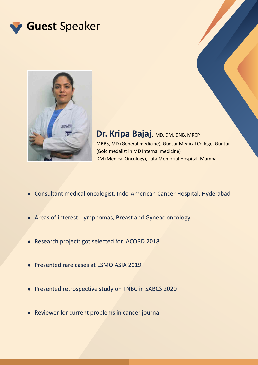



### **Dr. Kripa Bajaj, MD, DM, DNB, MRCP** MBBS, MD (General medicine), Guntur Medical College, Guntur (Gold medalist in MD Internal medicine) DM (Medical Oncology), Tata Memorial Hospital, Mumbai

- Consultant medical oncologist, Indo-American Cancer Hospital, Hyderabad
- Areas of interest: Lymphomas, Breast and Gyneac oncology
- Research project: got selected for ACORD 2018
- Presented rare cases at ESMO ASIA 2019
- Presented retrospective study on TNBC in SABCS 2020
- Reviewer for current problems in cancer journal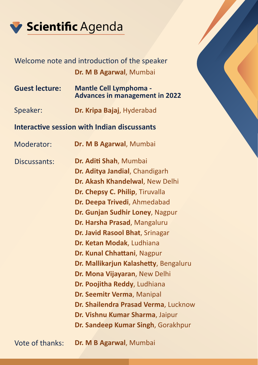

## Welcome note and introduction of the speaker **Dr. M B Agarwal**, Mumbai

- **Guest lecture: Mantle Cell Lymphoma Advances in management in 2022**
- Speaker: **Dr. Kripa Bajaj**, Hyderabad

### **Interactive session with Indian discussants**

Moderator: **Dr. M B Agarwal**, Mumbai

**Dr. Aditi Shah, Mumbai Dr. Aditya Jandial**, Chandigarh **Dr. Akash Khandelwal**, New Delhi **Dr. Chepsy C. Philip**, Tiruvalla **Dr. Deepa Trivedi**, Ahmedabad **Dr. Gunjan Sudhir Loney**, Nagpur **Dr. Harsha Prasad**, Mangaluru **Dr. Javid Rasool Bhat**, Srinagar **Dr. Ketan Modak**, Ludhiana **Dr. Kunal Chhattani, Nagpur Dr. Mallikarjun Kalashetty**, Bengaluru **Dr. Mona Vijayaran**, New Delhi **Dr. Poojitha Reddy**, Ludhiana **Dr. Seemitr Verma**, Manipal **Dr. Shailendra Prasad Verma**, Lucknow **Dr. Vishnu Kumar Sharma**, Jaipur **Dr. Sandeep Kumar Singh**, Gorakhpur Discussants: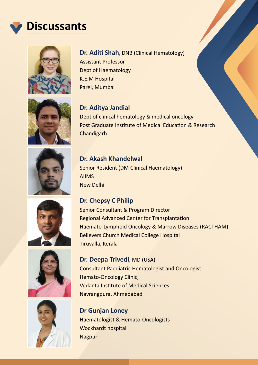## **Discussants**













### **Dr. Aditi Shah**, DNB (Clinical Hematology)

Assistant Professor Dept of Haematology K.E.M Hospital Parel, Mumbai

**Dr. Aditya Jandial** Dept of clinical hematology & medical oncology Post Graduate Institute of Medical Education & Research Chandigarh

### **Dr. Akash Khandelwal**  Senior Resident (DM Clinical Haematology)

AIIMS New Delhi

### **Dr. Chepsy C Philip**

Senior Consultant & Program Director Regional Advanced Center for Transplantation Haemato-Lymphoid Oncology & Marrow Diseases (RACTHAM) Believers Church Medical College Hospital Tiruvalla, Kerala

### **Dr. Deepa Trivedi**, MD (USA)

Consultant Paediatric Hematologist and Oncologist Hemato-Oncology Clinic, **Vedanta Institute of Medical Sciences** Navrangpura, Ahmedabad

**Dr Gunjan Loney** Haematologist & Hemato-Oncologists Wockhardt hospital Nagpur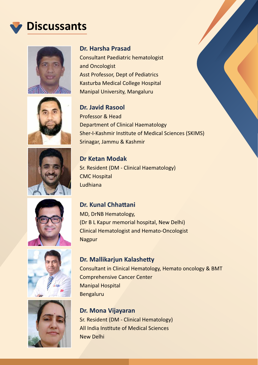## **Discussants**













#### **Dr. Harsha Prasad**

Consultant Paediatric hematologist and Oncologist Asst Professor, Dept of Pediatrics Kasturba Medical College Hospital Manipal University, Mangaluru

#### **Dr. Javid Rasool**

Professor & Head Department of Clinical Haematology Sher-I-Kashmir Institute of Medical Sciences (SKIMS) Srinagar, Jammu & Kashmir

**Dr Ketan Modak**  Sr. Resident (DM - Clinical Haematology) CMC Hospital Ludhiana

### **Dr. Kunal Chhattani**

MD, DrNB Hematology, (Dr B L Kapur memorial hospital, New Delhi) Clinical Hematologist and Hemato-Oncologist Nagpur

### **Dr. Mallikarjun Kalashetty**

Consultant in Clinical Hematology, Hemato oncology & BMT Comprehensive Cancer Center Manipal Hospital Bengaluru

### **Dr. Mona Vijayaran** Sr. Resident (DM - Clinical Hematology) All India Institute of Medical Sciences New Delhi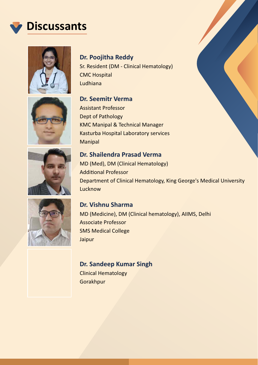





**Dr. Seemitr Verma** 

Sr. Resident (DM - Clinical Hematology) CMC Hospital Ludhiana









Assistant Professor Dept of Pathology KMC Manipal & Technical Manager Kasturba Hospital Laboratory services Manipal

### **Dr. Shailendra Prasad Verma**  MD (Med), DM (Clinical Hematology) **Additional Professor** Department of Clinical Hematology, King George's Medical University **Lucknow**

**Dr. Vishnu Sharma**  MD (Medicine), DM (Clinical hematology), AIIMS, Delhi Associate Professor SMS Medical College Jaipur

### **Dr. Sandeep Kumar Singh**

Clinical Hematology Gorakhpur